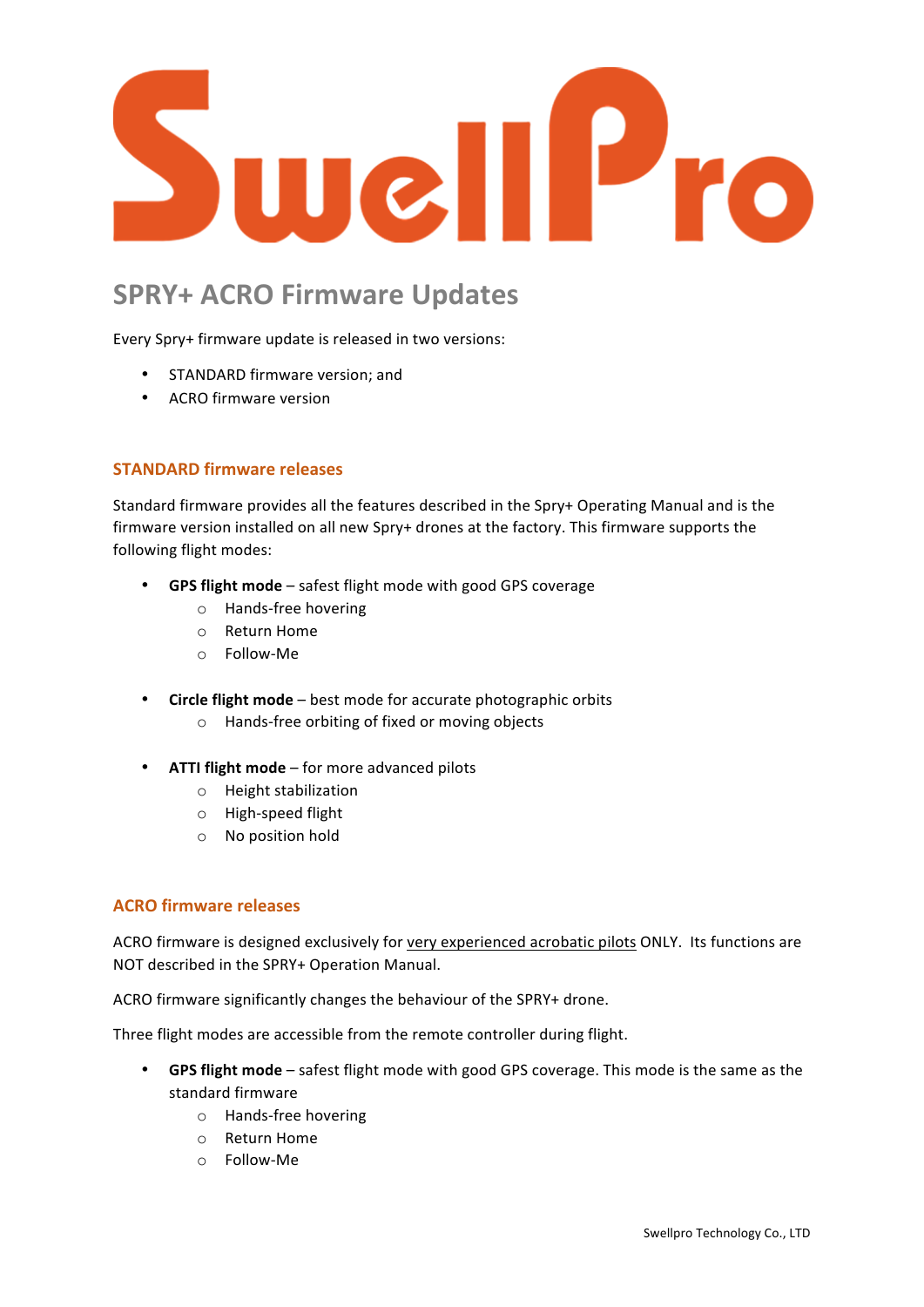

# **SPRY+ ACRO Firmware Updates**

Every Spry+ firmware update is released in two versions:

- STANDARD firmware version: and
- ACRO firmware version

### **STANDARD firmware releases**

Standard firmware provides all the features described in the Spry+ Operating Manual and is the firmware version installed on all new Spry+ drones at the factory. This firmware supports the following flight modes:

- **GPS flight mode** safest flight mode with good GPS coverage
	- o Hands-free hovering
	- o Return Home
	- o Follow-Me
- Circle flight mode best mode for accurate photographic orbits
	- o Hands-free orbiting of fixed or moving objects
- **ATTI flight mode** for more advanced pilots
	- $\circ$  Height stabilization
	- o High-speed flight
	- o No position hold

#### **ACRO firmware releases**

ACRO firmware is designed exclusively for very experienced acrobatic pilots ONLY. Its functions are NOT described in the SPRY+ Operation Manual.

ACRO firmware significantly changes the behaviour of the SPRY+ drone.

Three flight modes are accessible from the remote controller during flight.

- GPS flight mode safest flight mode with good GPS coverage. This mode is the same as the standard firmware
	- o Hands-free hovering
	- $\circ$  Return Home
	- o Follow-Me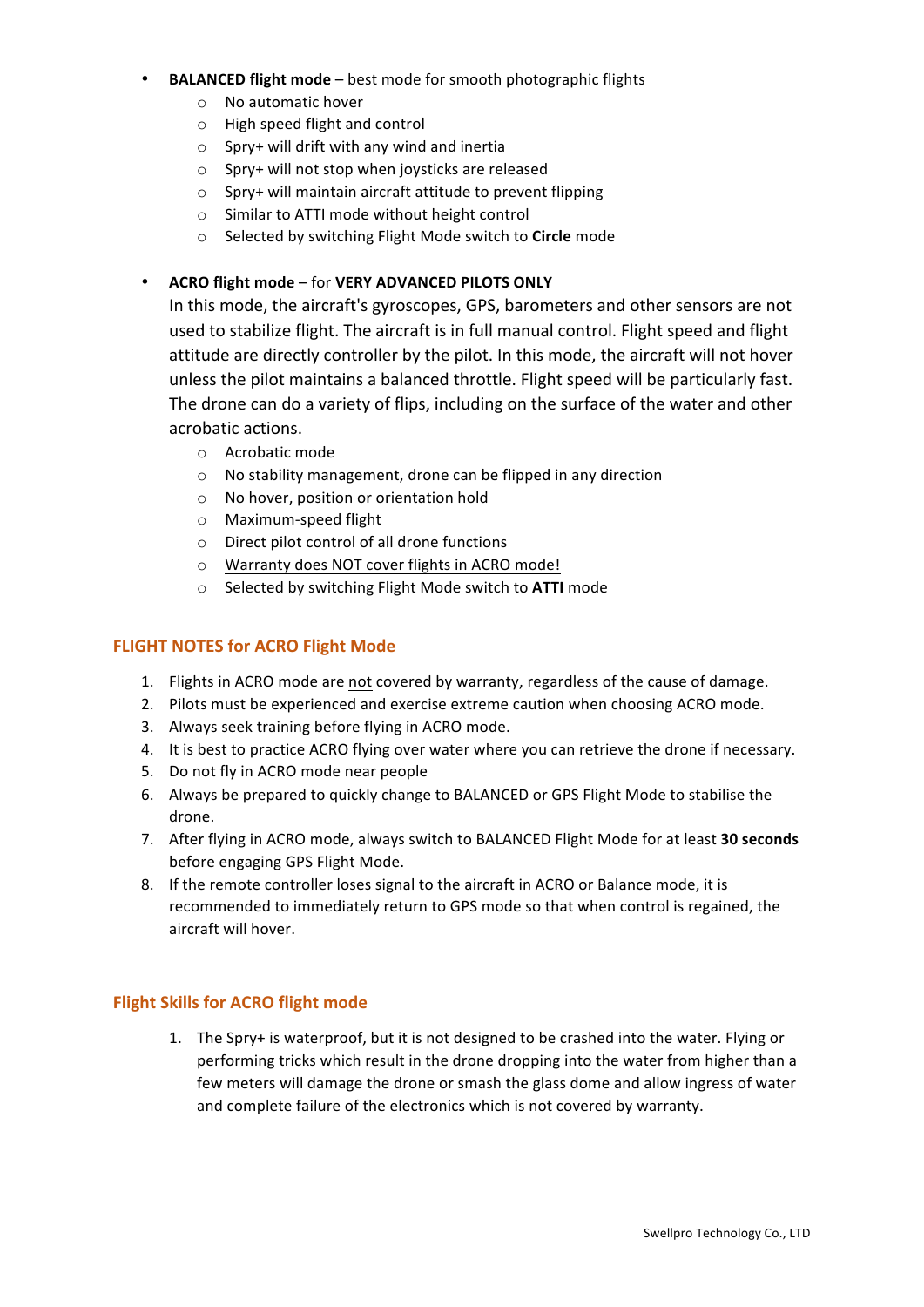#### • **BALANCED flight mode** – best mode for smooth photographic flights

- $\circ$  No automatic hover
- $\circ$  High speed flight and control
- $\circ$  Spry+ will drift with any wind and inertia
- $\circ$  Spry+ will not stop when joysticks are released
- $\circ$  Spry+ will maintain aircraft attitude to prevent flipping
- $\circ$  Similar to ATTI mode without height control
- o Selected by switching Flight Mode switch to **Circle** mode

## • **ACRO flight mode** – for **VERY ADVANCED PILOTS ONLY**

In this mode, the aircraft's gyroscopes, GPS, barometers and other sensors are not used to stabilize flight. The aircraft is in full manual control. Flight speed and flight attitude are directly controller by the pilot. In this mode, the aircraft will not hover unless the pilot maintains a balanced throttle. Flight speed will be particularly fast. The drone can do a variety of flips, including on the surface of the water and other acrobatic actions.

- $\circ$  Acrobatic mode
- o No stability management, drone can be flipped in any direction
- o No hover, position or orientation hold
- $\circ$  Maximum-speed flight
- $\circ$  Direct pilot control of all drone functions
- o Warranty does NOT cover flights in ACRO mode!
- o Selected by switching Flight Mode switch to **ATTI** mode

## **FLIGHT NOTES for ACRO Flight Mode**

- 1. Flights in ACRO mode are not covered by warranty, regardless of the cause of damage.
- 2. Pilots must be experienced and exercise extreme caution when choosing ACRO mode.
- 3. Always seek training before flying in ACRO mode.
- 4. It is best to practice ACRO flying over water where you can retrieve the drone if necessary.
- 5. Do not fly in ACRO mode near people
- 6. Always be prepared to quickly change to BALANCED or GPS Flight Mode to stabilise the drone.
- 7. After flying in ACRO mode, always switch to BALANCED Flight Mode for at least 30 seconds before engaging GPS Flight Mode.
- 8. If the remote controller loses signal to the aircraft in ACRO or Balance mode, it is recommended to immediately return to GPS mode so that when control is regained, the aircraft will hover.

## **Flight Skills for ACRO flight mode**

1. The Spry+ is waterproof, but it is not designed to be crashed into the water. Flying or performing tricks which result in the drone dropping into the water from higher than a few meters will damage the drone or smash the glass dome and allow ingress of water and complete failure of the electronics which is not covered by warranty.